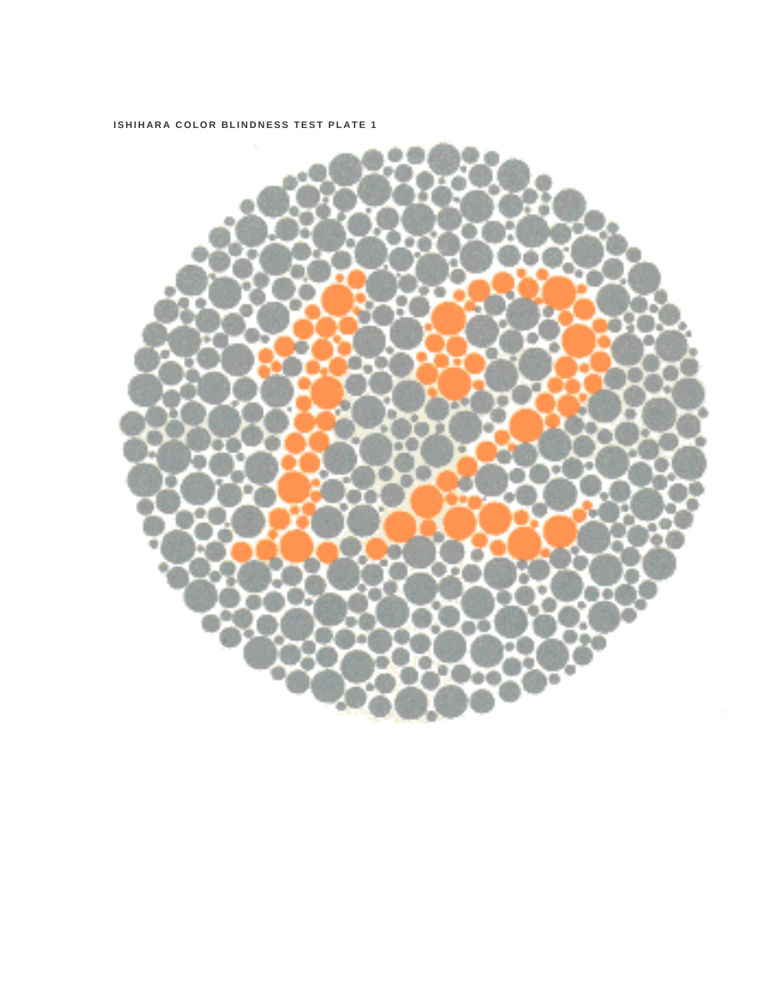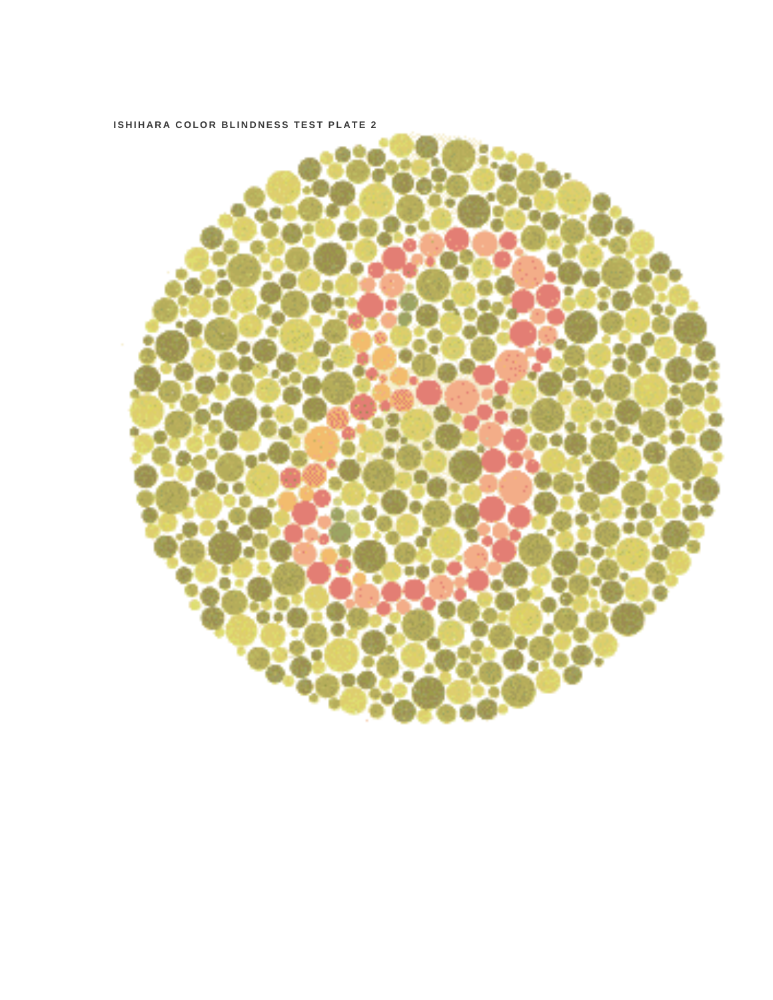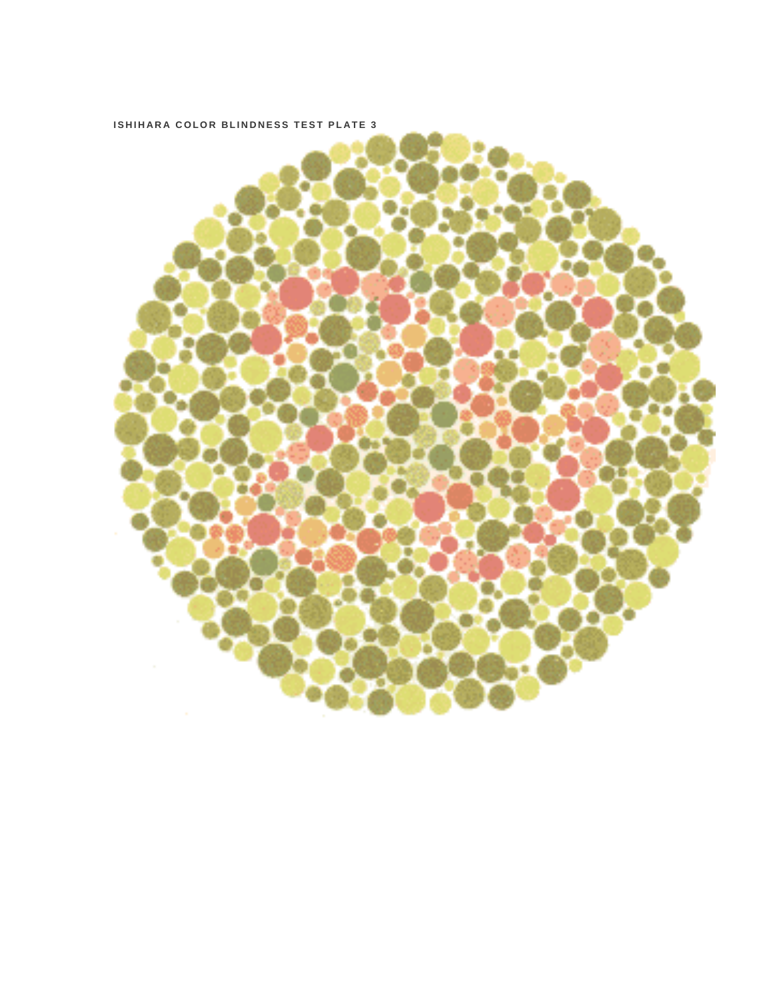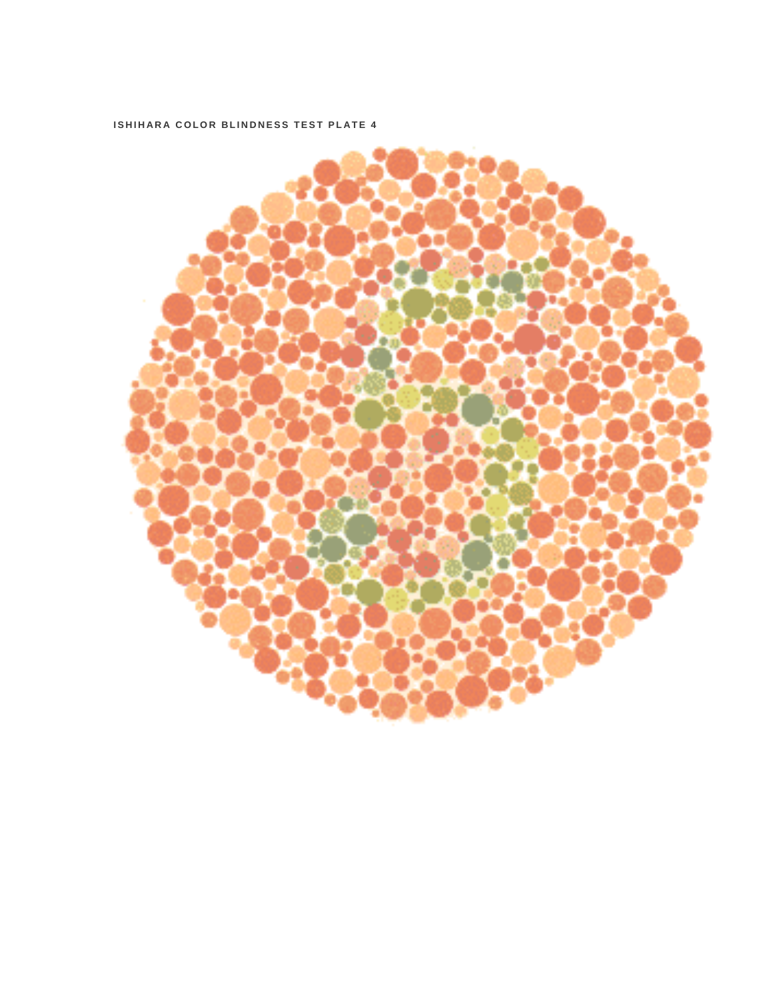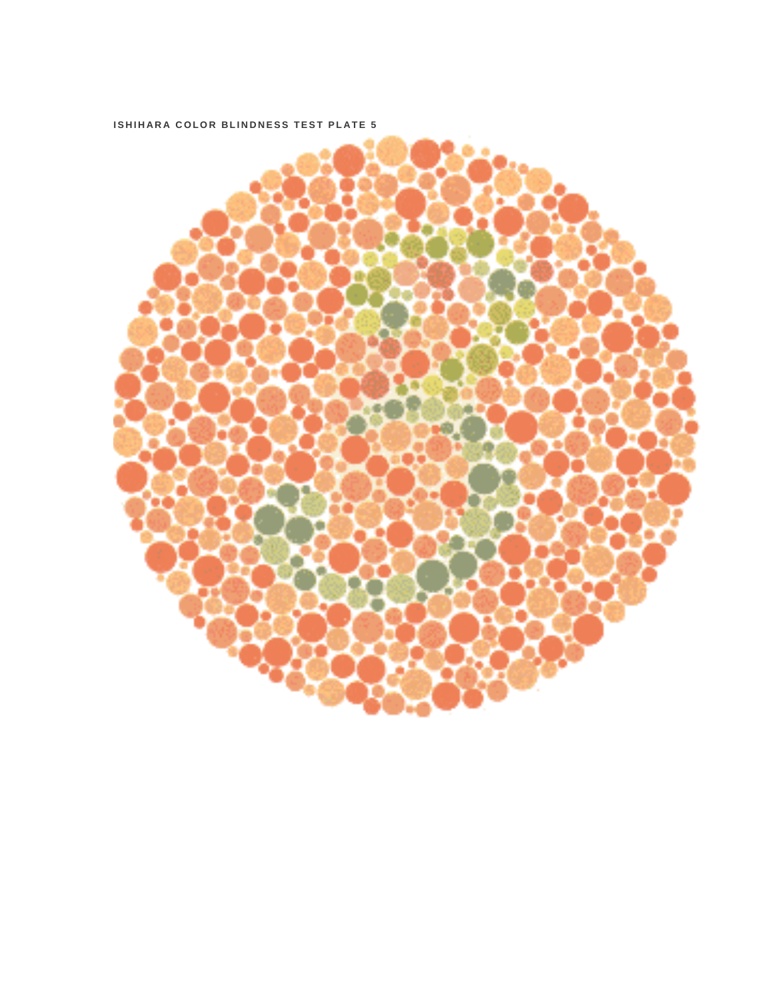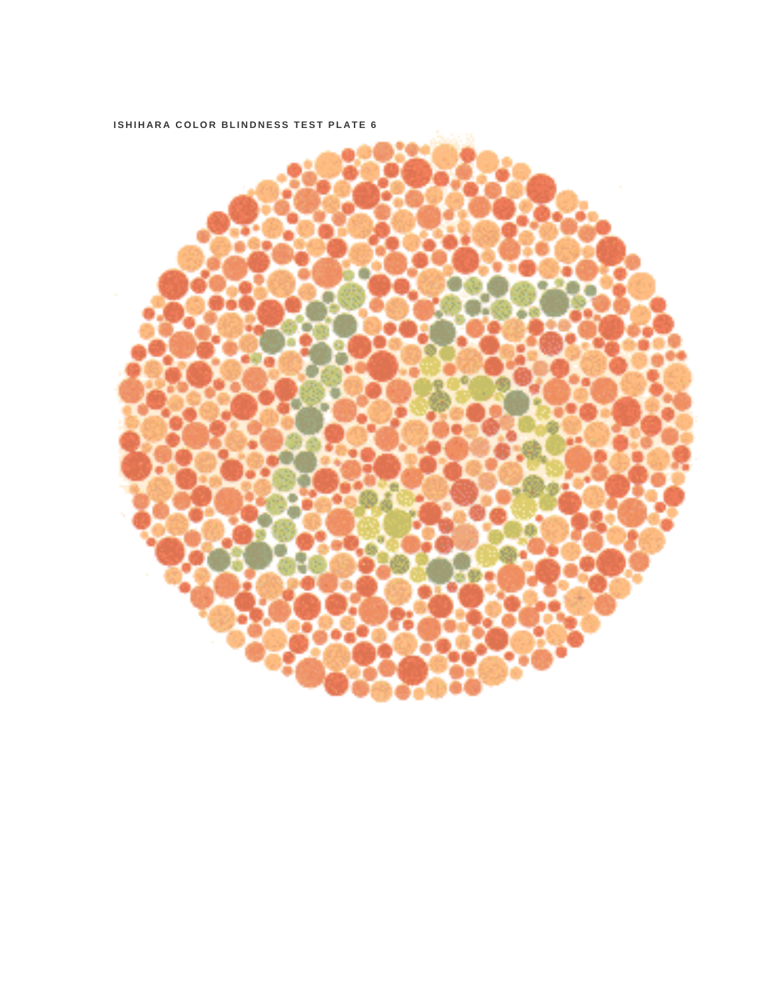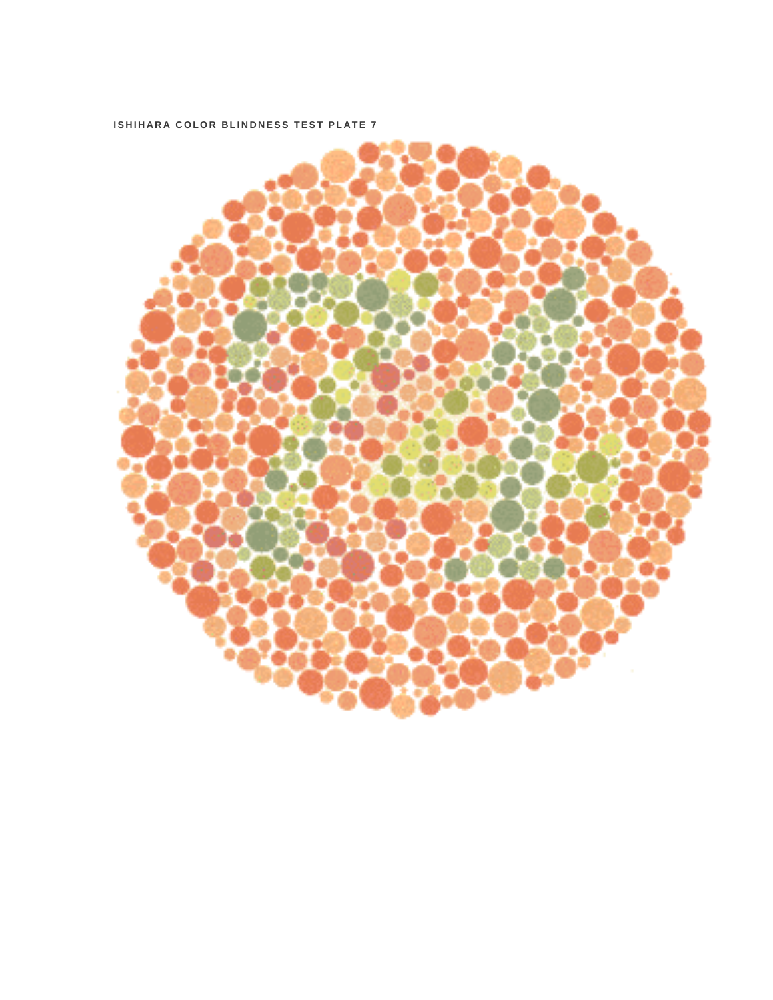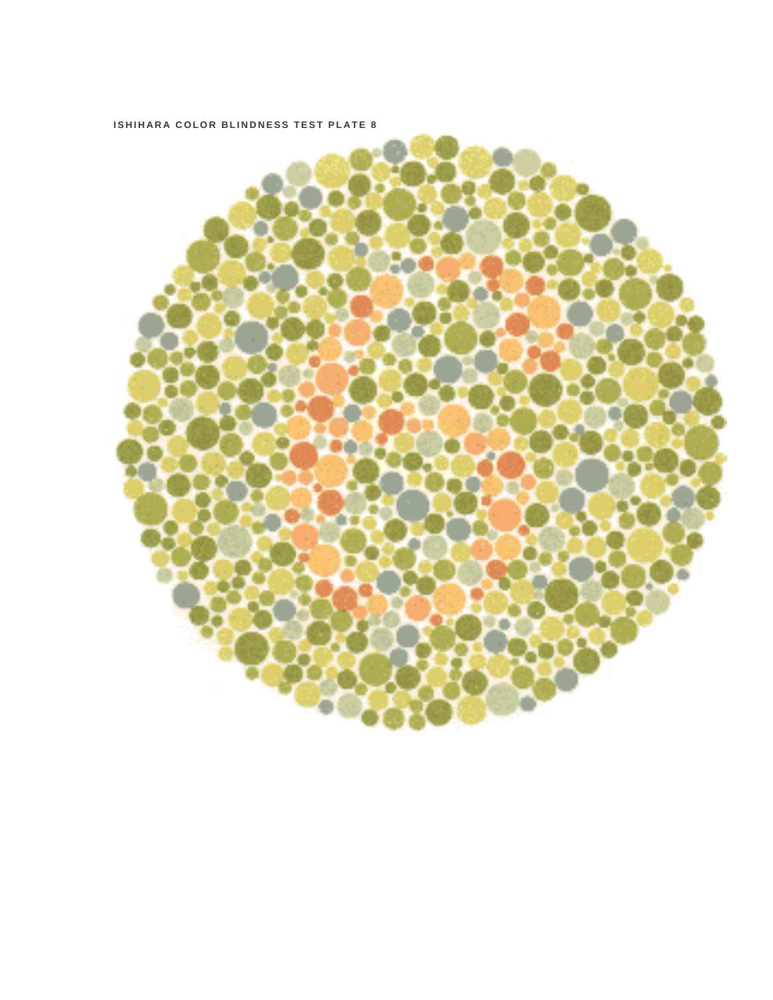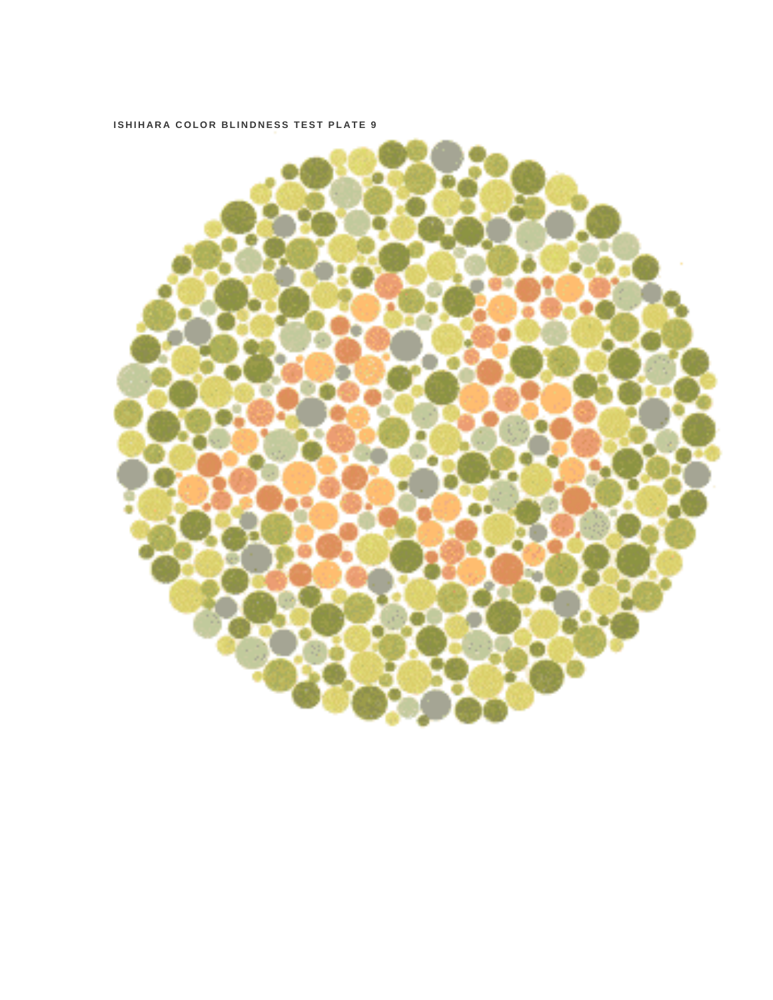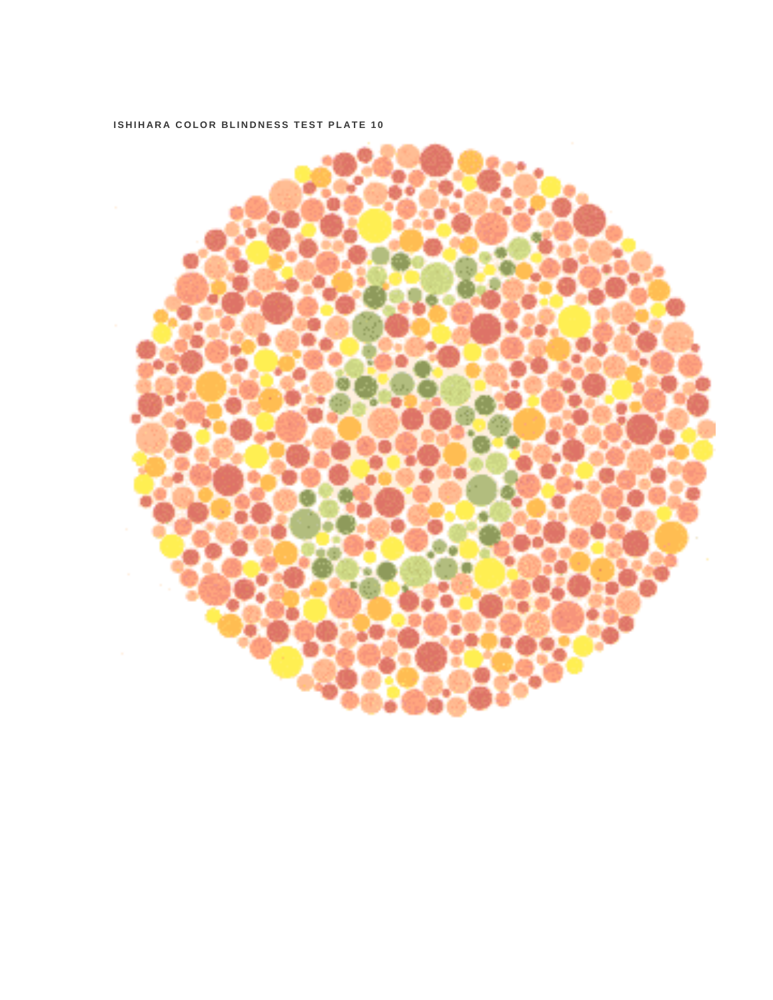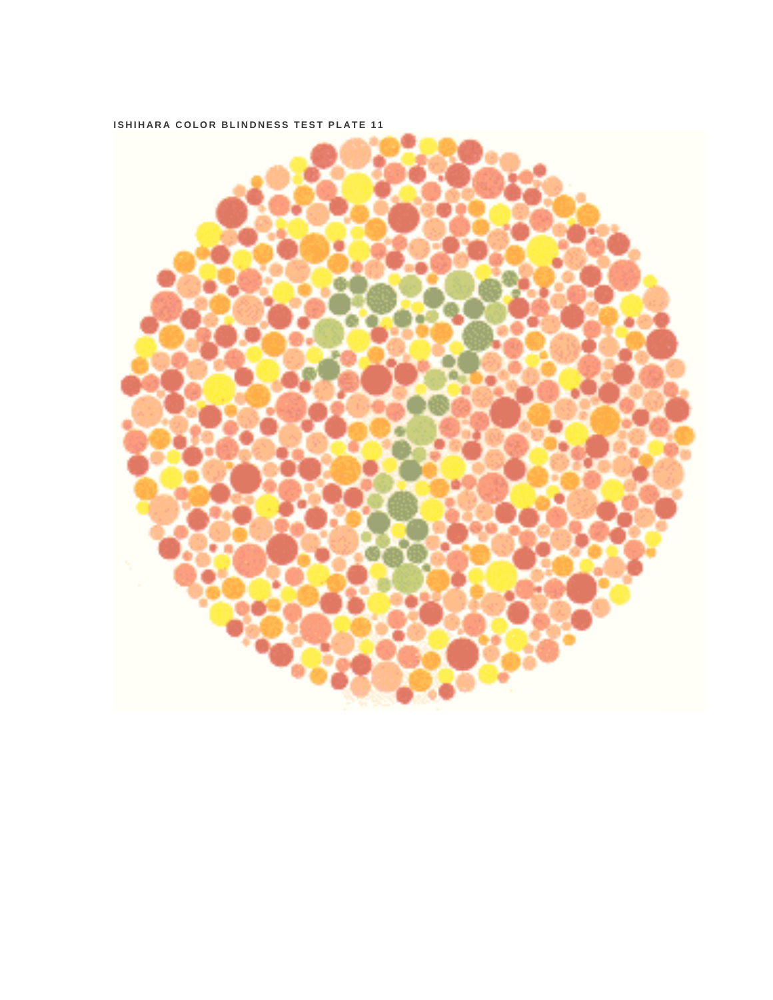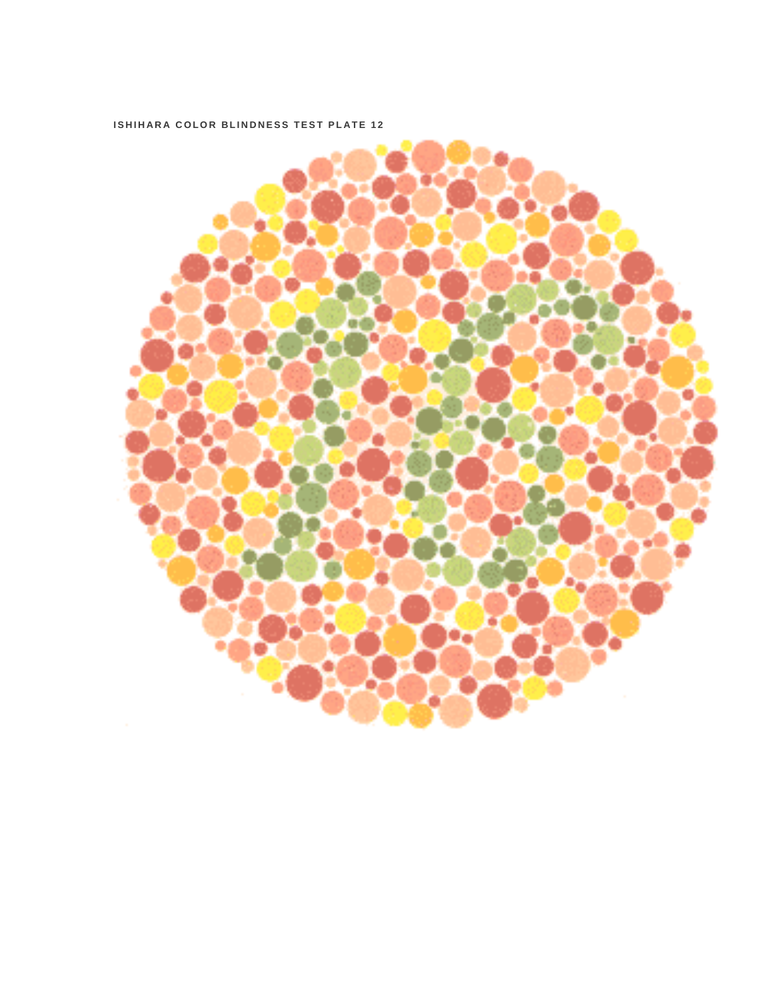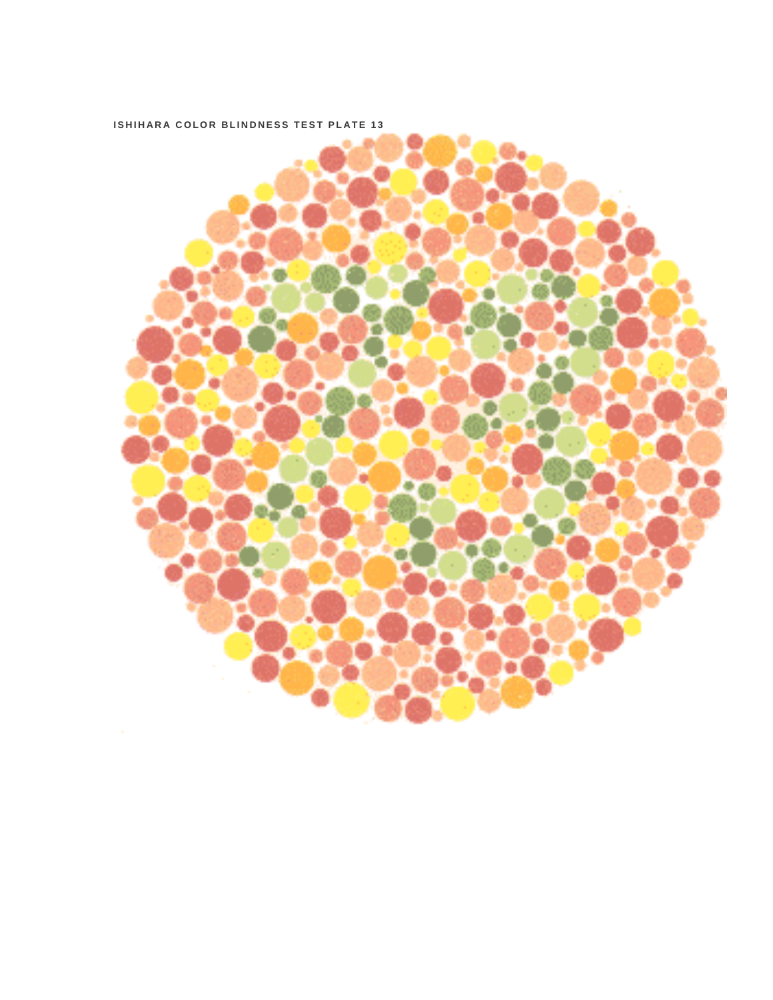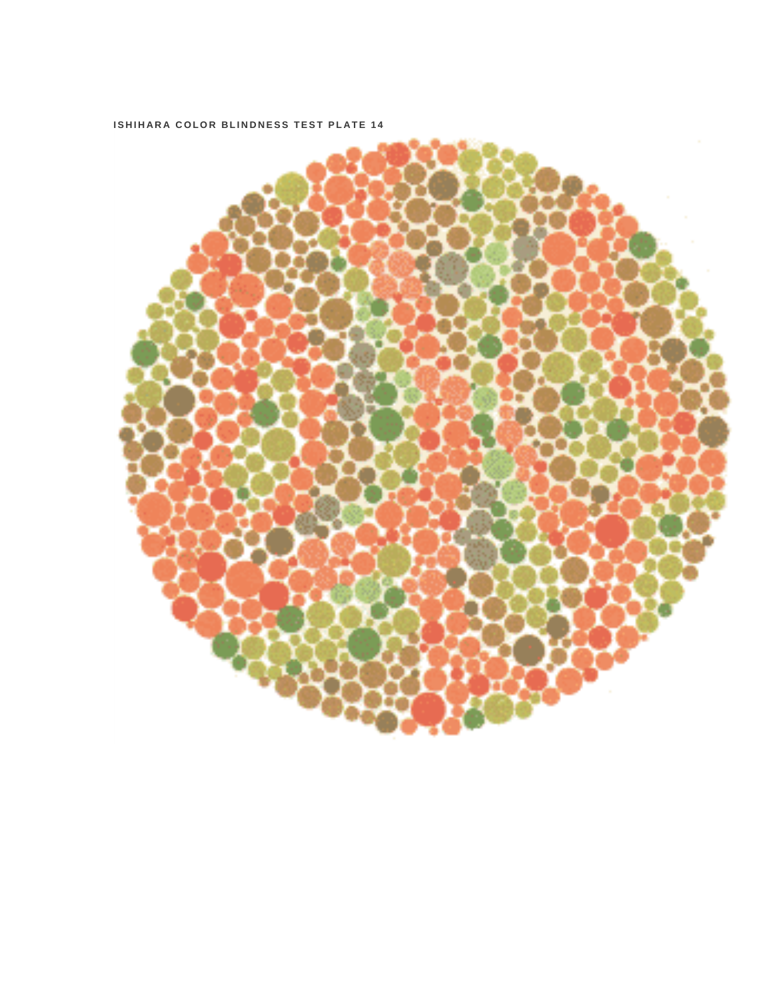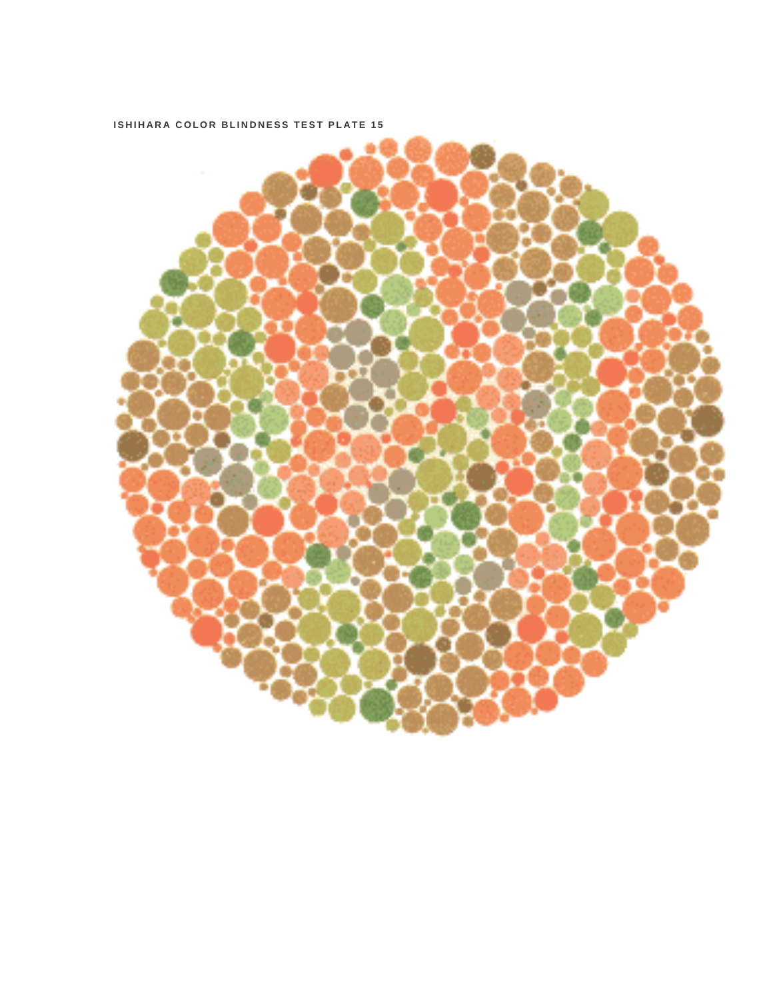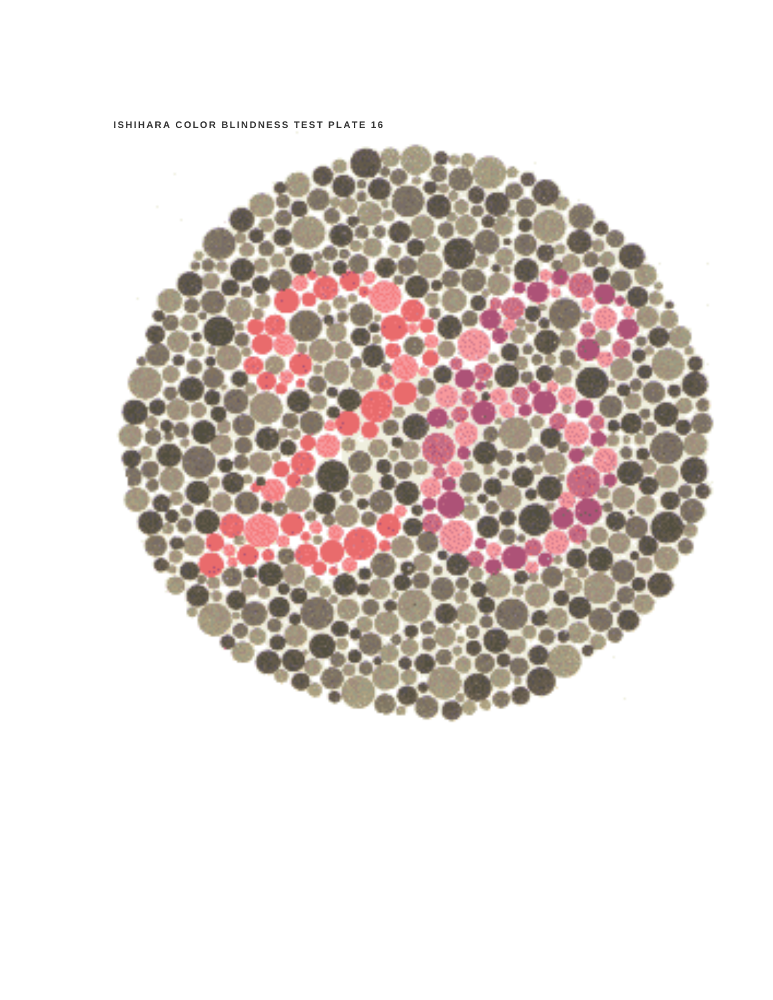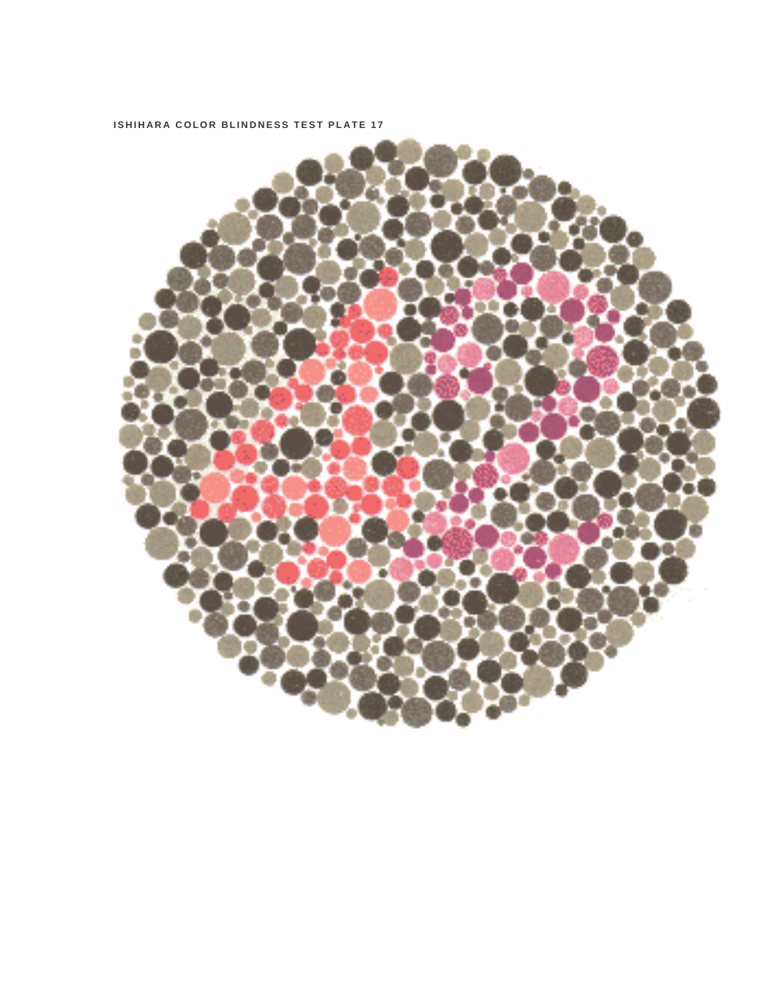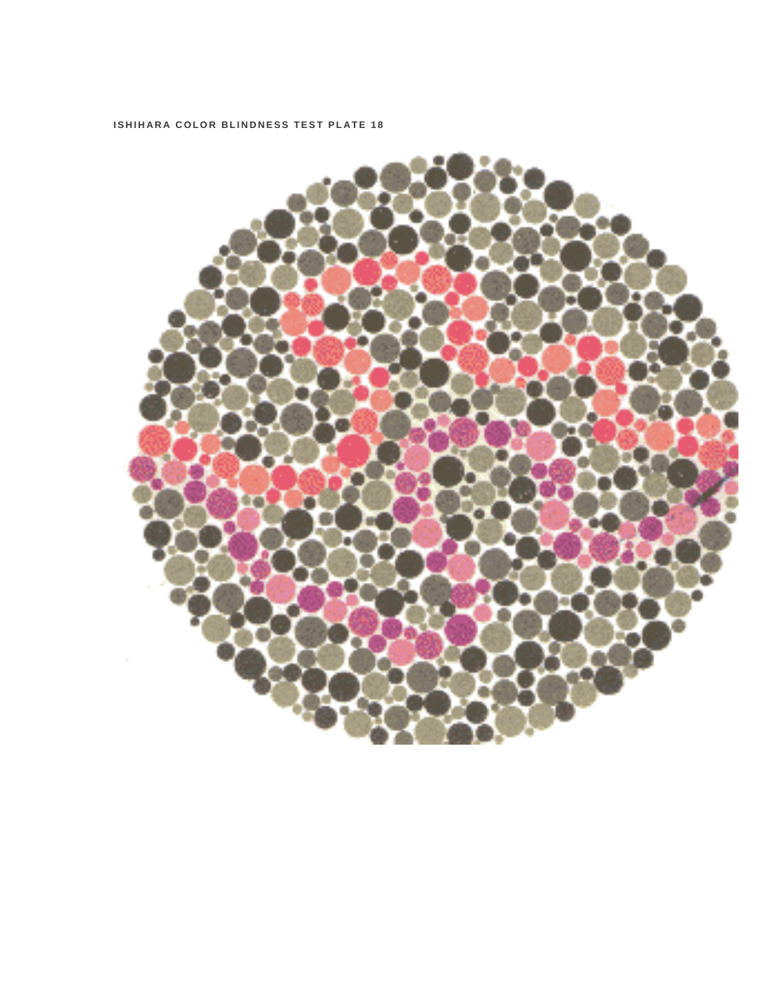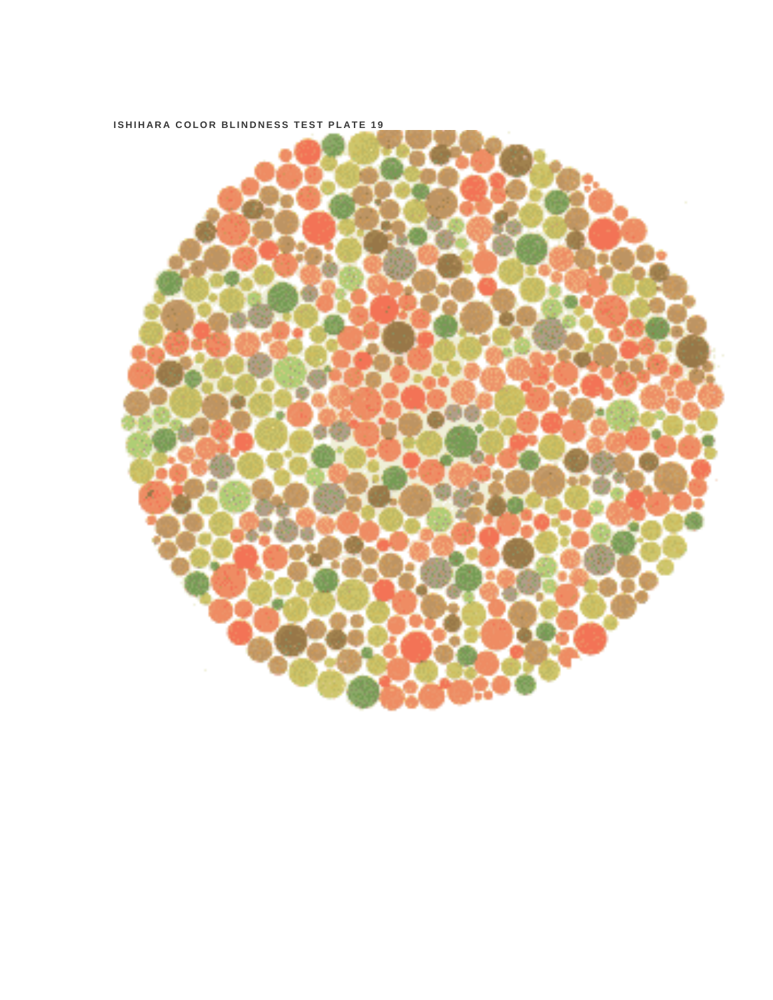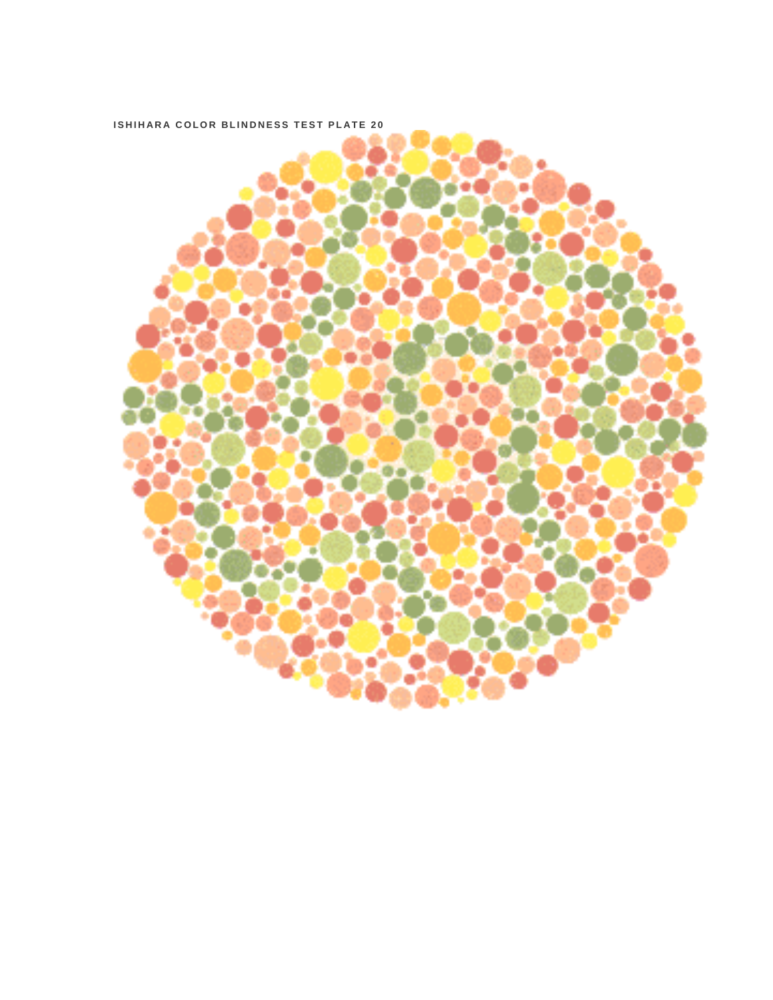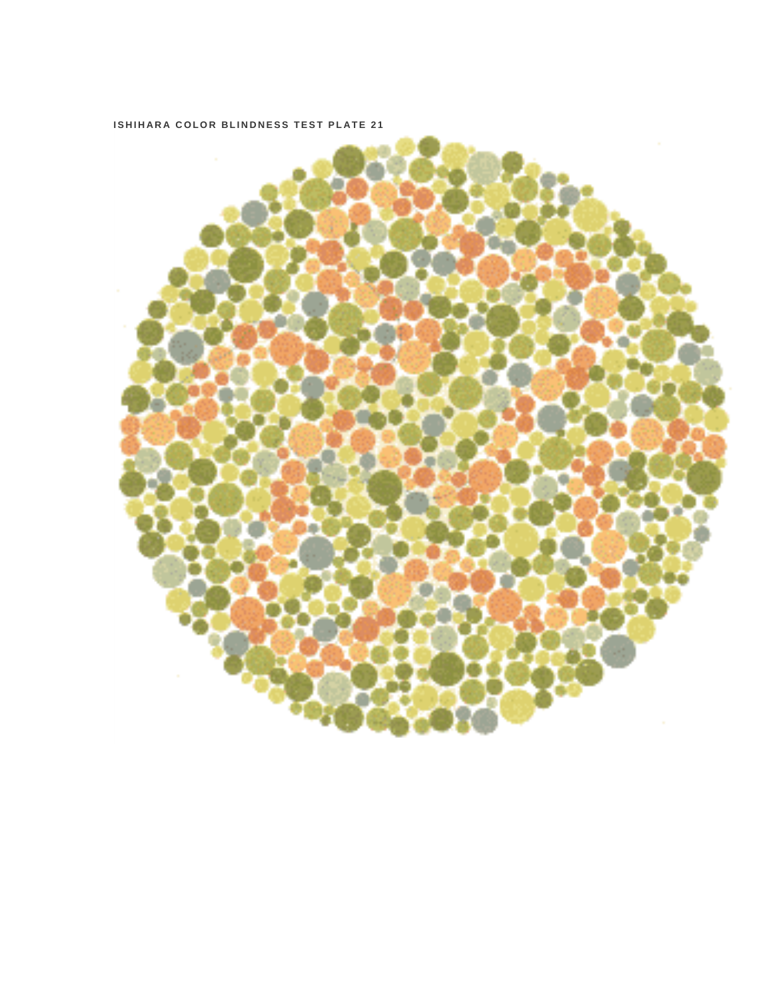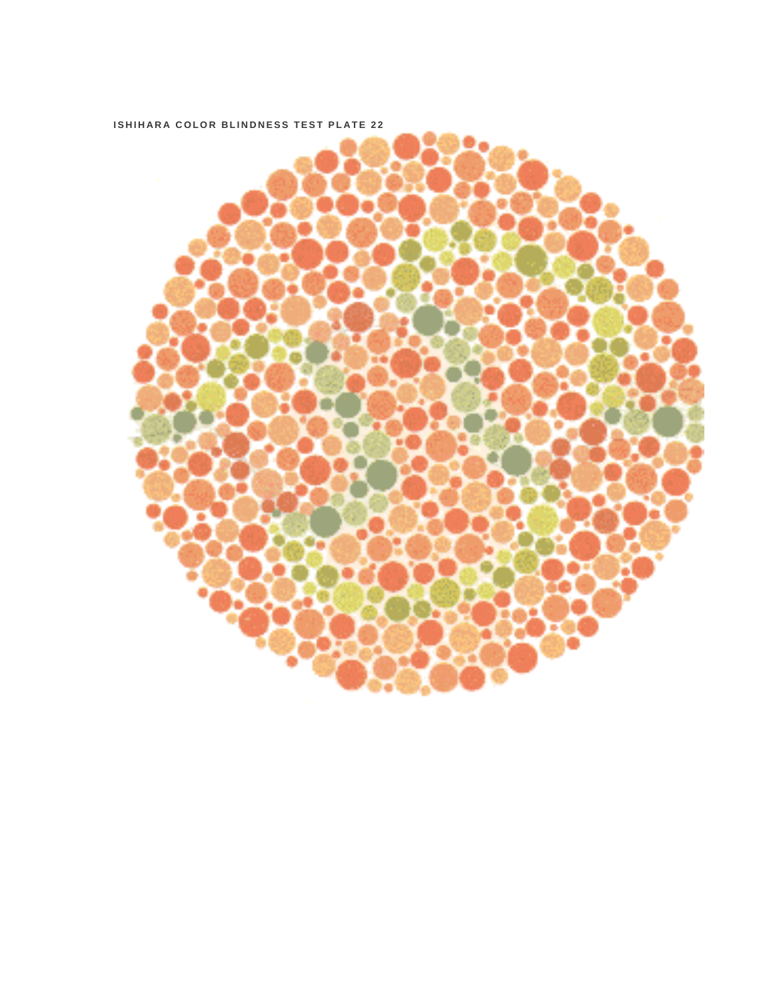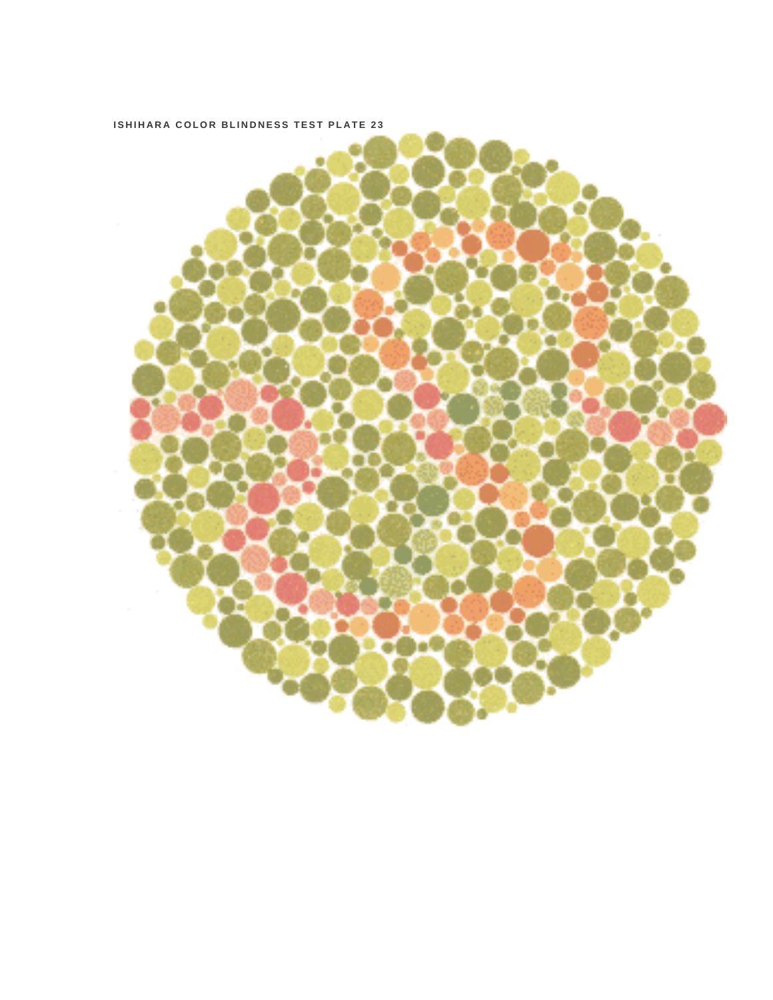